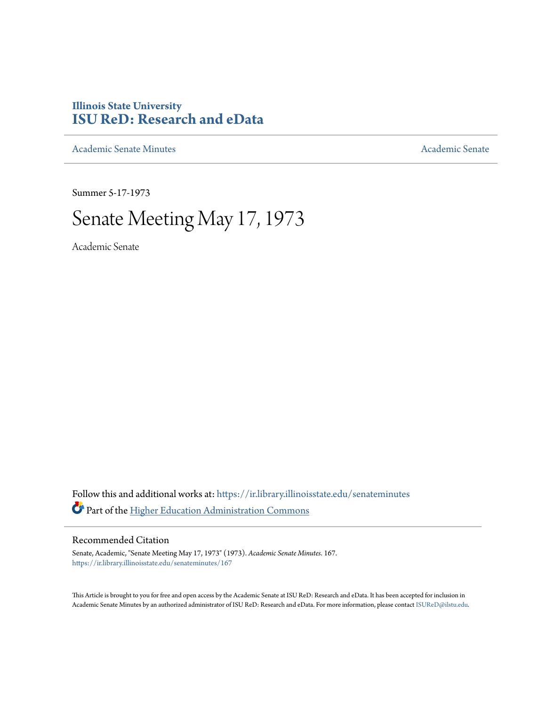## **Illinois State University [ISU ReD: Research and eData](https://ir.library.illinoisstate.edu?utm_source=ir.library.illinoisstate.edu%2Fsenateminutes%2F167&utm_medium=PDF&utm_campaign=PDFCoverPages)**

[Academic Senate Minutes](https://ir.library.illinoisstate.edu/senateminutes?utm_source=ir.library.illinoisstate.edu%2Fsenateminutes%2F167&utm_medium=PDF&utm_campaign=PDFCoverPages) [Academic Senate](https://ir.library.illinoisstate.edu/senate?utm_source=ir.library.illinoisstate.edu%2Fsenateminutes%2F167&utm_medium=PDF&utm_campaign=PDFCoverPages) Academic Senate

Summer 5-17-1973

# Senate Meeting May 17, 1973

Academic Senate

Follow this and additional works at: [https://ir.library.illinoisstate.edu/senateminutes](https://ir.library.illinoisstate.edu/senateminutes?utm_source=ir.library.illinoisstate.edu%2Fsenateminutes%2F167&utm_medium=PDF&utm_campaign=PDFCoverPages) Part of the [Higher Education Administration Commons](http://network.bepress.com/hgg/discipline/791?utm_source=ir.library.illinoisstate.edu%2Fsenateminutes%2F167&utm_medium=PDF&utm_campaign=PDFCoverPages)

## Recommended Citation

Senate, Academic, "Senate Meeting May 17, 1973" (1973). *Academic Senate Minutes*. 167. [https://ir.library.illinoisstate.edu/senateminutes/167](https://ir.library.illinoisstate.edu/senateminutes/167?utm_source=ir.library.illinoisstate.edu%2Fsenateminutes%2F167&utm_medium=PDF&utm_campaign=PDFCoverPages)

This Article is brought to you for free and open access by the Academic Senate at ISU ReD: Research and eData. It has been accepted for inclusion in Academic Senate Minutes by an authorized administrator of ISU ReD: Research and eData. For more information, please contact [ISUReD@ilstu.edu.](mailto:ISUReD@ilstu.edu)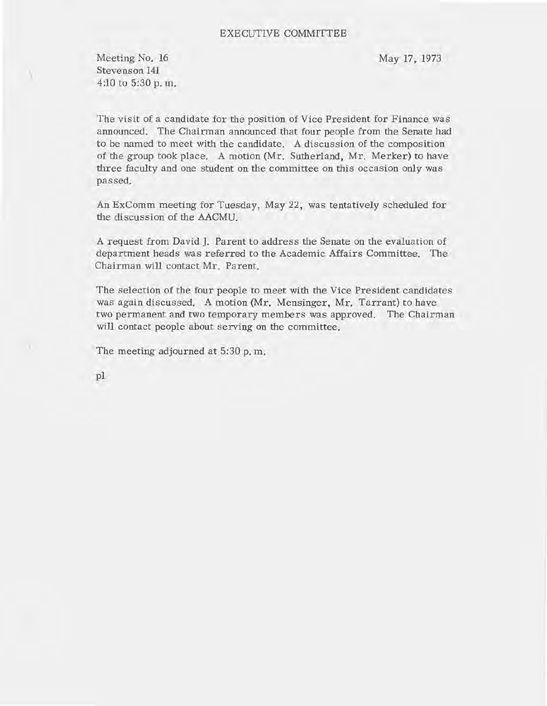### EXECUTIVE COMMITTEE

Meeting No. 16 Stevenson **141**  4:10 to 5:30 p. m.

)

May 17, 1973

The visit of a candidate for the position of Vice President for Finance was announced. The Chairman announced that four people from the Senate had to be named to meet with the candidate. A discussion of the composition of the group took place. A motion (Mr. Sutherland, Mr. Merker) to have three faculty and one student on the committee on this occasion only was passed.

An ExComm meeting for Tuesday, May 22, was tentatively scheduled for the discussion of the AACMU.

A request from David]. Parent to address the Senate on the evaluation of department heads was referred to the Academic Affairs Committee. The Chairman will contact Mr. Parent.

The selection of the four people to meet with the Vice President candidates was again discussed. A motion (Mr. Mensinger, Mr. Tarrant) to have two permanent and two temporary members was approved. The Chairman will contact people about serving on the committee.

The meeting adjourned at 5:30 p. m.

**pI**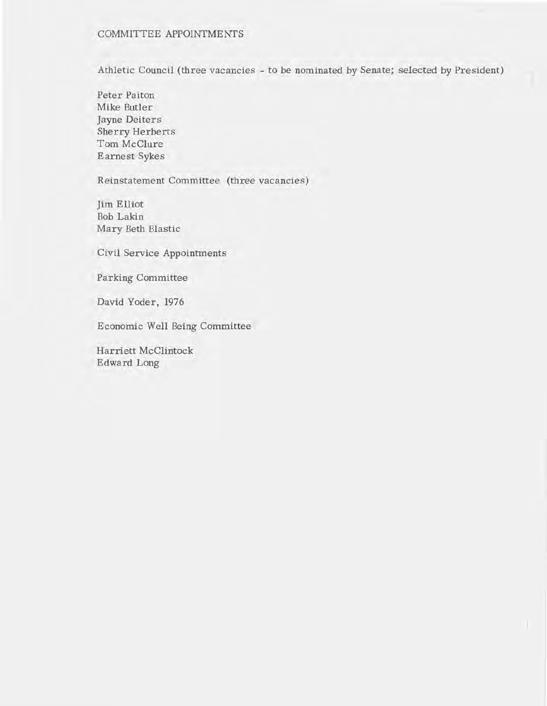## COMMITTEE APPOINTMENTS

Athletic Council (three vacancies - to be nominated by Senate; selected by President)

Peter Paiton Mike Butler Jayne Deiters Sherry Herberts Tom McClure Earnest Sykes

Reinstatement Committee (three vacancies)

Jim Elliot Bob Lakin Mary Beth Blastic

Civil Service Appointments

Parking Committee

David Yoder, 1976

Economic Well Being Committee

Harriett McClintock Edward Long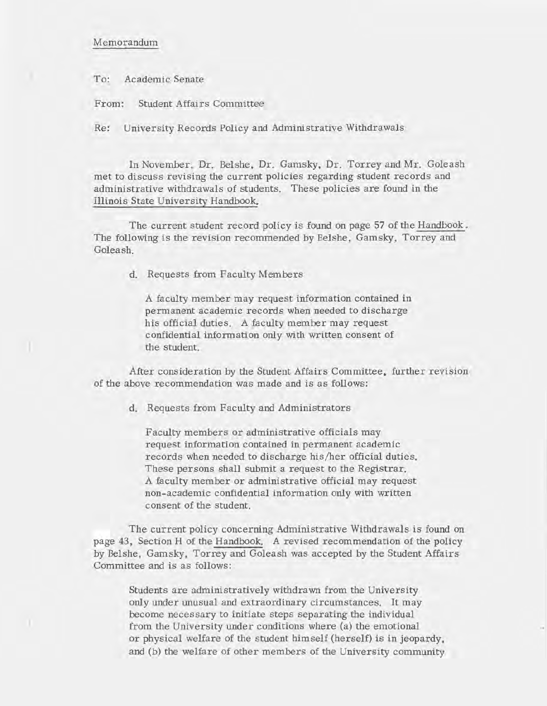### Memorandum

To: Academic Senate

From: Student Affairs Committee

Re: University Records Policy and Administrative Withdrawals

In November, Dr. Belshe, Dr. Gamsky, Dr. Torrey and Mr. Goleash met to discuss revising the current policies regarding student records and administrative withdrawals of students. These policies are found in the Illinois State University Handbook.

The current student record policy is found on page 57 of the Handbook. The following is the revision recommended by Belshe, Gamsky, Torrey and Goleash.

d. Requests from Faculty Members

A faculty member may request information contained in permanent academic records when needed to discharge his official duties. A faculty member may request confidential information only with written consent of the student.

After consideration by the Student Affairs Committee, further revision of the above recommendation was made and is as follows:

d. Requests from Faculty and Administrators

Faculty members or administrative officials may request information contained in permanent academic records when needed to discharge his/her official duties. These persons shall submit a request to the Registrar. A faculty member or administrative official may request non-academic confidential information only with written consent of the student.

The current policy concerning Administrative Withdrawals is found on page 43, Section H of the Handbook. A revised recommendation of the policy by Belshe, Gam sky, Torrey and Goleash was accepted by the Student Affairs Committee and is as follows:

Students are administratively withdrawn from the University only under unusual and extraordinary circumstances. It may become necessary to initiate steps separating the individual from the University under conditions where (a) the emotional or physical welfare of the student himself (herself) is in jeopardy, and (b) the welfare of other members of the University community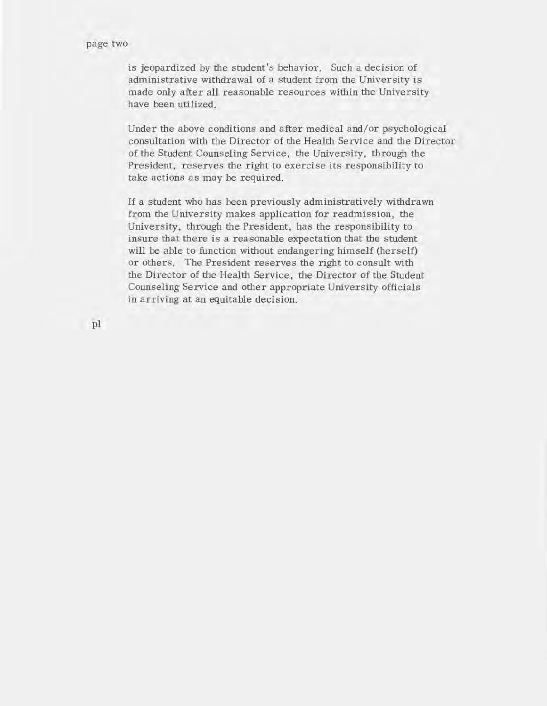is jeopardized by the student's behavior. Such a decision of administrative withdrawal of a student from the University is made only after all reasonable resources within the University have been utilized.

Under the above conditions and after medical and/or psychological consultation with the Director of the Health Service and the Director of the Student Counseling Service, the University, through the President, reserves the right to exercise its responsibility to take actions as may be required.

If a student who has been previously administratively withdrawn from the University makes application for readmission, the University, through the President, has the responsibility to insure that there is a reasonable expectation that the student will be able to function without endangering himself (herself) or others. The President reserves the right to consult with the Director of the Health Service, the Director of the Student Counseling Service and other appropriate University officials in arriving at an equitable decision.

pI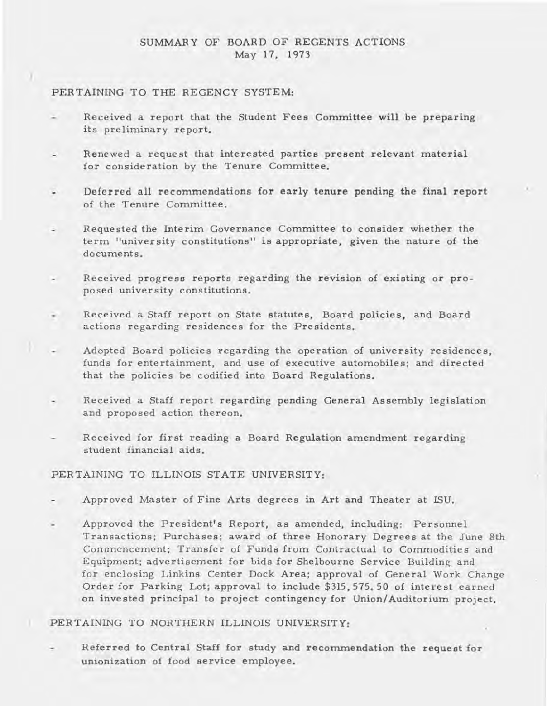## SUMMARY OF BOARD OF REGENTS ACTIONS May 17, 1973

## PERTAINING TO THE REGENCY SYSTEM:

)

- Received a report that the Student Fees Committee will be preparing its preliminary report.
- Renewed a request that interested parties present relevant material for consideration by the Tenure Committee.
- Deferred all recommendations for early tenure pending the final report  $\ddot{\phantom{0}}$ of the Tenure Committee.
- Requested the Interim Governance Committee to consider whether the term "univer sity constitutions" is appropriate, given the nature of the documents.
- Received progress reports regarding the revision of existing or proposed university constitutions.
- Received a Staff report on State statutes, Board policies, and Board actions regarding residences for the Presidents.
- $\sim$ Adopted Board policies regarding the operation of university residences, funds for entertainment, and use of executive automobiles; and directed that the policies be codified into Board Regulations.
- Received a Staff report regarding pending General Assembly legislation and proposed action thereon.
- Received for first reading a Board Regulation amendment regarding student financial aids.

## PERTAINING TO ILLINOIS STATE UNIVERSITY:

- Approved Master of Fine Arts degrees in Art and Theater at ISU.
- Approved the President's Report, as amended, including: Personnel Transactions; Purchases; award of three Honorary Degrees at the June 8th Commencement; Transfer of Funds from Contractual to Commodities and Equipment; advertisement for bids for Shelbourne Service Building and for enclosing Linkins Center Dock Area; approval of General Work Change Order for Parking Lot; approval to include \$315,575.50 of interest earned on inve sted principal to project contingency for Union/Auditorium project.

## PERTAINING TO NORTHERN ILLINOIS UNIVERSITY:

Referred to Central Staff for study and reconunendation the request for unionization of food service employee.